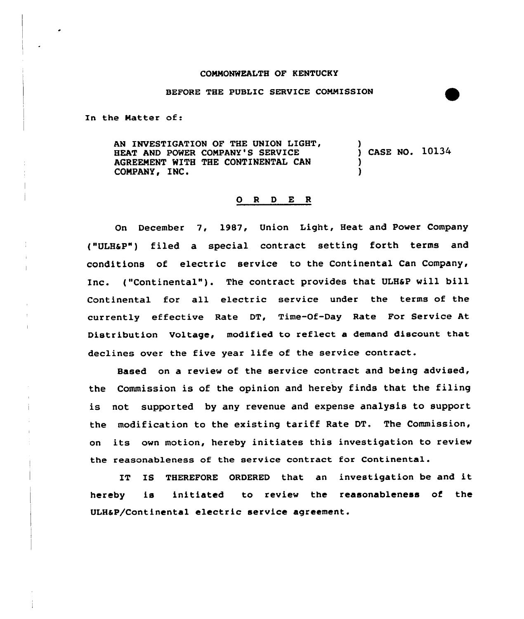## COMMONWEALTH OF KENTUCKY

## BEFORE THE PUBLIC SERVICE CONNISSION

In the Natter of:

AN INVESTIGATION OF THE UNION LIGHT, HEAT AND POWER COMPANY'S SERVICE AGREEMENT WITH THE CONTINENTAL CAN COMPANY, INC. ) ) CASE NO. 10134 ) )

## 0 <sup>R</sup> <sup>D</sup> E <sup>R</sup>

On December 7, 1987, Union Light, Heat and Power Company ("ULHaP") filed a special contract setting forth terms and conditions of electric service to the Continental Can Company, Inc. ("Continental" ). The contract provides that ULHaP will bill Continental for all electric service under the terms of the currently effective Rate DT, Time-Of-Day Rate For Service At Distribution Voltage, modified to reflect a demand discount that declines over the five year life of the service contract.

Based on a review of the service contract and being advised, the Commission is of the opinion and hereby finds that the filing is not supported by any revenue and expense analysis to support the modification to the existing tariff Rate DT. The Commission, on its own motion, hereby initiates this investigation to review the reasonableness of the service contract for Continental.

IT IS THEREFORE ORDERED that an investigation be and it hereby is initiated to review the reasonableness of the ULHaP/Continental electric service agreement.